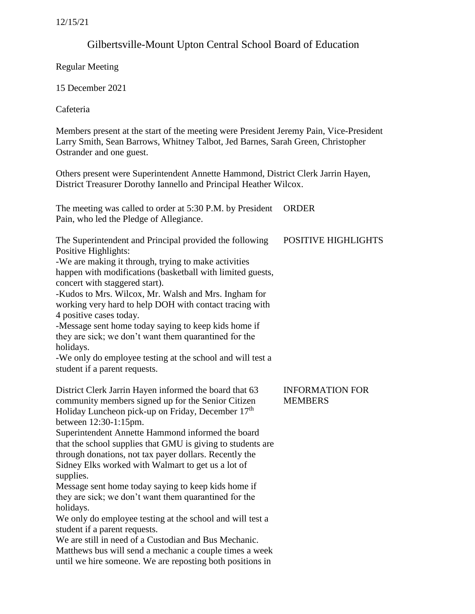# Gilbertsville-Mount Upton Central School Board of Education

Regular Meeting

15 December 2021

Cafeteria

Members present at the start of the meeting were President Jeremy Pain, Vice-President Larry Smith, Sean Barrows, Whitney Talbot, Jed Barnes, Sarah Green, Christopher Ostrander and one guest.

Others present were Superintendent Annette Hammond, District Clerk Jarrin Hayen, District Treasurer Dorothy Iannello and Principal Heather Wilcox.

The meeting was called to order at 5:30 P.M. by President ORDER Pain, who led the Pledge of Allegiance.

| The Superintendent and Principal provided the following    | <b>POSITIVE HIGHLIGHTS</b> |
|------------------------------------------------------------|----------------------------|
| Positive Highlights:                                       |                            |
| -We are making it through, trying to make activities       |                            |
| happen with modifications (basketball with limited guests, |                            |

concert with staggered start).

-Kudos to Mrs. Wilcox, Mr. Walsh and Mrs. Ingham for working very hard to help DOH with contact tracing with 4 positive cases today.

-Message sent home today saying to keep kids home if they are sick; we don't want them quarantined for the holidays.

-We only do employee testing at the school and will test a student if a parent requests.

District Clerk Jarrin Hayen informed the board that 63 community members signed up for the Senior Citizen Holiday Luncheon pick-up on Friday, December 17<sup>th</sup> between 12:30-1:15pm.

Superintendent Annette Hammond informed the board that the school supplies that GMU is giving to students are through donations, not tax payer dollars. Recently the Sidney Elks worked with Walmart to get us a lot of supplies.

Message sent home today saying to keep kids home if they are sick; we don't want them quarantined for the holidays.

We only do employee testing at the school and will test a student if a parent requests.

We are still in need of a Custodian and Bus Mechanic. Matthews bus will send a mechanic a couple times a week until we hire someone. We are reposting both positions in

# INFORMATION FOR **MEMBERS**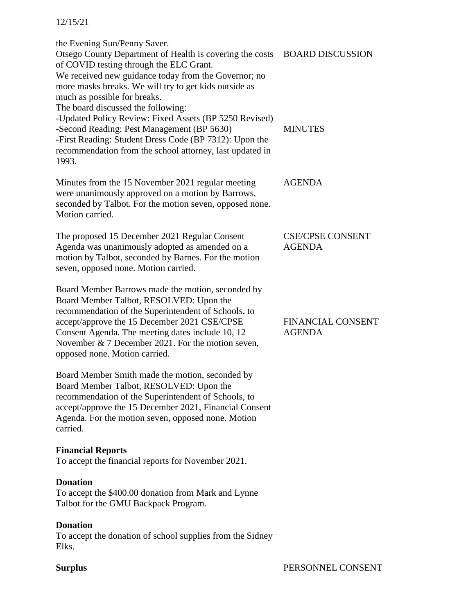#### 12/15/21

the Evening Sun/Penny Saver. Otsego County Department of Health is covering the costs BOARD DISCUSSION of COVID testing through the ELC Grant. We received new guidance today from the Governor; no more masks breaks. We will try to get kids outside as much as possible for breaks. The board discussed the following: -Updated Policy Review: Fixed Assets (BP 5250 Revised) -Second Reading: Pest Management (BP 5630) -First Reading: Student Dress Code (BP 7312): Upon the recommendation from the school attorney, last updated in 1993. Minutes from the 15 November 2021 regular meeting were unanimously approved on a motion by Barrows, seconded by Talbot. For the motion seven, opposed none. Motion carried. The proposed 15 December 2021 Regular Consent Agenda was unanimously adopted as amended on a motion by Talbot, seconded by Barnes. For the motion seven, opposed none. Motion carried. Board Member Barrows made the motion, seconded by Board Member Talbot, RESOLVED: Upon the recommendation of the Superintendent of Schools, to accept/approve the 15 December 2021 CSE/CPSE Consent Agenda. The meeting dates include 10, 12 November & 7 December 2021. For the motion seven, opposed none. Motion carried. Board Member Smith made the motion, seconded by Board Member Talbot, RESOLVED: Upon the recommendation of the Superintendent of Schools, to accept/approve the 15 December 2021, Financial Consent Agenda. For the motion seven, opposed none. Motion carried. **Financial Reports**  To accept the financial reports for November 2021. **Donation**  To accept the \$400.00 donation from Mark and Lynne Talbot for the GMU Backpack Program. MINUTES AGENDA CSE/CPSE CONSENT AGENDA FINANCIAL CONSENT AGENDA

## **Donation**

To accept the donation of school supplies from the Sidney Elks.

#### **Surplus**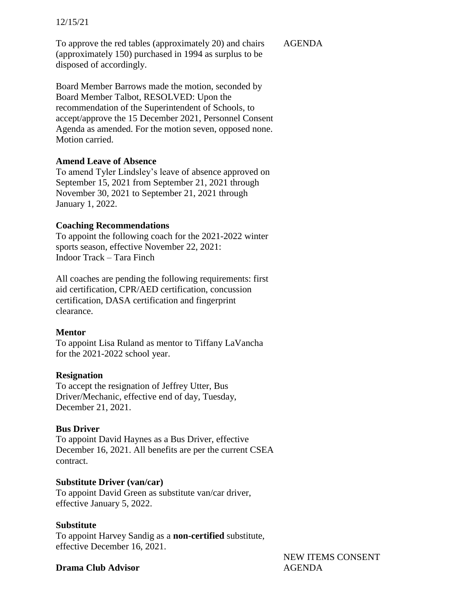#### 12/15/21

To approve the red tables (approximately 20) and chairs (approximately 150) purchased in 1994 as surplus to be disposed of accordingly.

AGENDA

Board Member Barrows made the motion, seconded by Board Member Talbot, RESOLVED: Upon the recommendation of the Superintendent of Schools, to accept/approve the 15 December 2021, Personnel Consent Agenda as amended. For the motion seven, opposed none. Motion carried.

## **Amend Leave of Absence**

To amend Tyler Lindsley's leave of absence approved on September 15, 2021 from September 21, 2021 through November 30, 2021 to September 21, 2021 through January 1, 2022.

## **Coaching Recommendations**

To appoint the following coach for the 2021-2022 winter sports season, effective November 22, 2021: Indoor Track – Tara Finch

All coaches are pending the following requirements: first aid certification, CPR/AED certification, concussion certification, DASA certification and fingerprint clearance.

# **Mentor**

To appoint Lisa Ruland as mentor to Tiffany LaVancha for the 2021-2022 school year.

# **Resignation**

To accept the resignation of Jeffrey Utter, Bus Driver/Mechanic, effective end of day, Tuesday, December 21, 2021.

# **Bus Driver**

To appoint David Haynes as a Bus Driver, effective December 16, 2021. All benefits are per the current CSEA contract.

## **Substitute Driver (van/car)**

To appoint David Green as substitute van/car driver, effective January 5, 2022.

## **Substitute**

To appoint Harvey Sandig as a **non-certified** substitute, effective December 16, 2021.

## **Drama Club Advisor**

NEW ITEMS CONSENT AGENDA